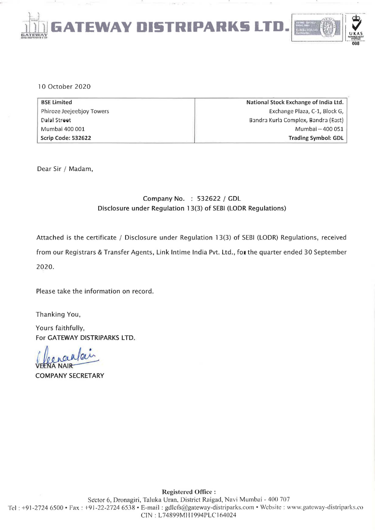

#### 10 October 2020

| <b>BSE Limited</b>        | National Stock Exchange of India Ltd. |  |
|---------------------------|---------------------------------------|--|
| Phiroze Jeejeebjoy Towers | Exchange Plaza, C-1, Block G,         |  |
| Dalal Street              | Bandra Kurla Complex, Bandra (East)   |  |
| Mumbai 400 001            | Mumbai - 400 051                      |  |
| Scrip Code: 532622        | <b>Trading Symbol: GDL</b>            |  |

Dear Sir / Madam,

## Company No. : 532622 / GDL Disclosure under Regulation 13(3) of SEBI (LODR Regulations)

Attached is the certificate / Disclosure under Regulation 13(3) of SEBI (LODR) Regulations, received from our Registrars & Transfer Agents, Link Intime India Pvt. Ltd., for the quarter ended 30 September 2020.

Please take the information on record.

Thanking You,

Yours faithfully, For GATEWAY DISTRIPARKS LTD.

**VA NAIR** 

**COMPANY SECRETARY**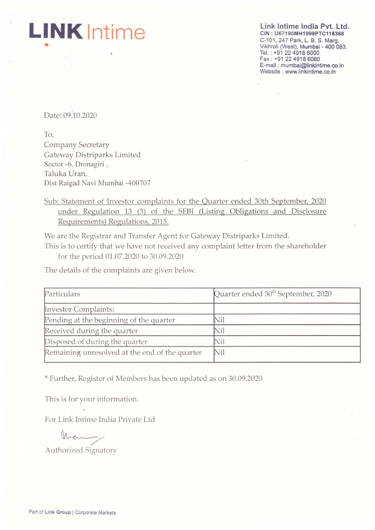**LINK Intime**  •

Link Intime India Pvt. Ltd. CIN : U67190MH1999PTC118368 C-101, 247 Park, L. B. S. Marg, Vikhroli (West), Mumbai - 400 083. Tel. : +91 2249186000 Fax: +91 22 4918 6060 E-mail: mumbai@linkintime.co.in Website: www.linkintime.co.in

à.

Date: 09.10.2020

To, Company Secretary Gateway Distriparks Limited Sector -6, Dronagiri , Taluka Uran, Dist Raigad Navi Mumbai -400707

# Sub: Statement of Investor complaints for the Quarter ended 30th September, 2020 under Regulation 13 (3) of the SEBI (Listing Obligations and Disclosure Requirements) Regulations, 2015.

We are the Registrar and Transfer Agent for Gateway Distriparks Limited.

This is to certify that we have not received any complaint letter from the shareholder for the period 01.07.2020 to 30.09.2020

The details of the complaints are given below.

| Particulars                                    | Quarter ended 30 <sup>th</sup> September, 2020 |  |
|------------------------------------------------|------------------------------------------------|--|
| <b>Investor Complaints:</b>                    |                                                |  |
| Pending at the beginning of the quarter        | Nil                                            |  |
| Received during the quarter                    | Nil                                            |  |
| Disposed of during the quarter                 | Nil                                            |  |
| Remaining unresolved at the end of the quarter | Nil                                            |  |

\* Further, Register of Members has been updated as on 30.09.2020

This is for your information.

For Link Intime India Private Ltd

Many

Authorized Signatory